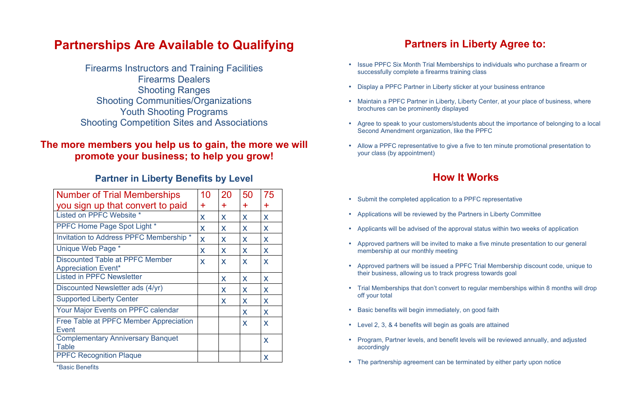## **Partnerships Are Available to Qualifying**

Firearms Instructors and Training Facilities Firearms Dealers Shooting Ranges Shooting Communities/Organizations Youth Shooting Programs Shooting Competition Sites and Associations

### **The more members you help us to gain, the more we will promote your business; to help you grow!**

#### **Partner in Liberty Benefits by Level**

\*Basic Benefits

### **Partners in Liberty Agree to:**

- Submit the completed application to a PPFC representative
- Applications will be reviewed by the Partners in Liberty Committee
- Applicants will be advised of the approval status within two weeks of application
- Approved partners will be invited to make a five minute presentation to our general membership at our monthly meeting
- Approved partners will be issued a PPFC Trial Membership discount code, unique to their business, allowing us to track progress towards goal
- Trial Memberships that don't convert to regular memberships within 8 months will drop off your total
- Basic benefits will begin immediately, on good faith
- Level 2, 3, & 4 benefits will begin as goals are attained
- Program, Partner levels, and benefit levels will be reviewed annually, and adjusted accordingly
- The partnership agreement can be terminated by either party upon notice
- Issue PPFC Six Month Trial Memberships to individuals who purchase a firearm or successfully complete a firearms training class
- Display a PPFC Partner in Liberty sticker at your business entrance
- Maintain a PPFC Partner in Liberty, Liberty Center, at your place of business, where brochures can be prominently displayed
- Agree to speak to your customers/students about the importance of belonging to a local Second Amendment organization, like the PPFC
- Allow a PPFC representative to give a five to ten minute promotional presentation to your class (by appointment)

## **How It Works**

| <b>Number of Trial Memberships</b>                            | 10        | 20    | 50 | 75 |
|---------------------------------------------------------------|-----------|-------|----|----|
|                                                               |           |       |    |    |
| you sign up that convert to paid                              | $\ddot{}$ | $\pm$ | ╋  | ╇  |
| Listed on PPFC Website *                                      | X         | X     | X  | X  |
| <b>PPFC Home Page Spot Light *</b>                            | X         | X     | X  | X  |
| Invitation to Address PPFC Membership *                       | X         | X     | X  | X  |
| Unique Web Page *                                             | X         | X     | X  | X  |
| Discounted Table at PPFC Member<br><b>Appreciation Event*</b> | X         | X     | X  | X  |
| <b>Listed in PPFC Newsletter</b>                              |           | X     | X  | X  |
| Discounted Newsletter ads (4/yr)                              |           | X     | X  | X  |
| <b>Supported Liberty Center</b>                               |           | X     | X  | X  |
| <b>Your Major Events on PPFC calendar</b>                     |           |       | X  | X  |
| Free Table at PPFC Member Appreciation<br>Event               |           |       | X  | X  |
| <b>Complementary Anniversary Banquet</b><br><b>Table</b>      |           |       |    | X  |
| <b>PPFC Recognition Plaque</b>                                |           |       |    | X  |